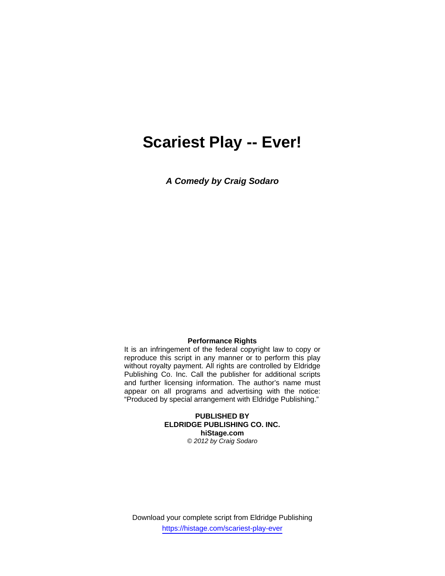# **Scariest Play -- Ever!**

*A Comedy by Craig Sodaro* 

#### **Performance Rights**

It is an infringement of the federal copyright law to copy or reproduce this script in any manner or to perform this play without royalty payment. All rights are controlled by Eldridge Publishing Co. Inc. Call the publisher for additional scripts and further licensing information. The author's name must appear on all programs and advertising with the notice: "Produced by special arrangement with Eldridge Publishing."

> **PUBLISHED BY ELDRIDGE PUBLISHING CO. INC. hiStage.com**  *© 2012 by Craig Sodaro*

Download your complete script from Eldridge Publishing https://histage.com/scariest-play-ever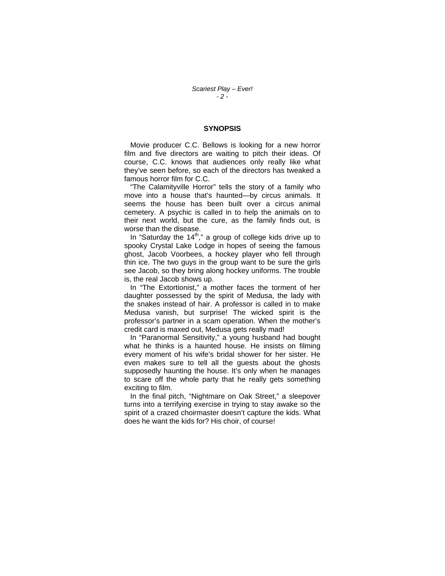#### **SYNOPSIS**

 Movie producer C.C. Bellows is looking for a new horror film and five directors are waiting to pitch their ideas. Of course, C.C. knows that audiences only really like what they've seen before, so each of the directors has tweaked a famous horror film for C.C.

 "The Calamityville Horror" tells the story of a family who move into a house that's haunted—by circus animals. It seems the house has been built over a circus animal cemetery. A psychic is called in to help the animals on to their next world, but the cure, as the family finds out, is worse than the disease.

In "Saturday the  $14<sup>th</sup>$ ," a group of college kids drive up to spooky Crystal Lake Lodge in hopes of seeing the famous ghost, Jacob Voorbees, a hockey player who fell through thin ice. The two guys in the group want to be sure the girls see Jacob, so they bring along hockey uniforms. The trouble is, the real Jacob shows up.

 In "The Extortionist," a mother faces the torment of her daughter possessed by the spirit of Medusa, the lady with the snakes instead of hair. A professor is called in to make Medusa vanish, but surprise! The wicked spirit is the professor's partner in a scam operation. When the mother's credit card is maxed out, Medusa gets really mad!

 In "Paranormal Sensitivity," a young husband had bought what he thinks is a haunted house. He insists on filming every moment of his wife's bridal shower for her sister. He even makes sure to tell all the guests about the ghosts supposedly haunting the house. It's only when he manages to scare off the whole party that he really gets something exciting to film.

 In the final pitch, "Nightmare on Oak Street," a sleepover turns into a terrifying exercise in trying to stay awake so the spirit of a crazed choirmaster doesn't capture the kids. What does he want the kids for? His choir, of course!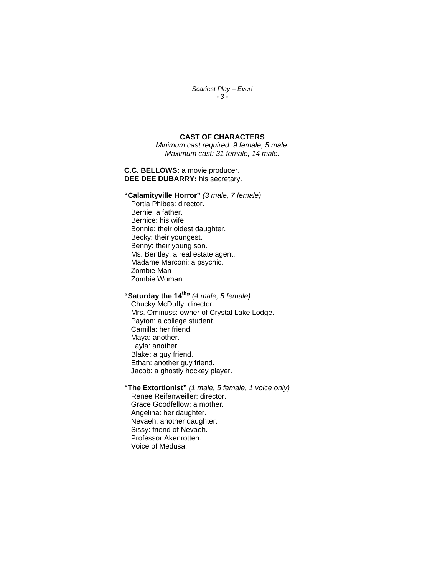#### *Scariest Play – Ever! - 3 -*

#### **CAST OF CHARACTERS**

*Minimum cast required: 9 female, 5 male. Maximum cast: 31 female, 14 male.* 

**C.C. BELLOWS:** a movie producer. **DEE DEE DUBARRY:** his secretary.

**"Calamityville Horror"** *(3 male, 7 female)* Portia Phibes: director. Bernie: a father. Bernice: his wife. Bonnie: their oldest daughter. Becky: their youngest. Benny: their young son. Ms. Bentley: a real estate agent. Madame Marconi: a psychic. Zombie Man Zombie Woman

**"Saturday the 14th"** *(4 male, 5 female)* Chucky McDuffy: director. Mrs. Ominuss: owner of Crystal Lake Lodge. Payton: a college student. Camilla: her friend. Maya: another. Layla: another. Blake: a guy friend. Ethan: another guy friend. Jacob: a ghostly hockey player.

**"The Extortionist"** *(1 male, 5 female, 1 voice only)* Renee Reifenweiller: director. Grace Goodfellow: a mother. Angelina: her daughter. Nevaeh: another daughter. Sissy: friend of Nevaeh. Professor Akenrotten. Voice of Medusa.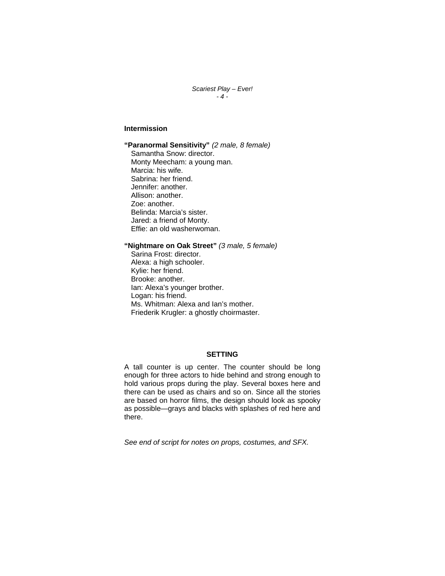*Scariest Play – Ever! - 4 -* 

# **Intermission**

**"Paranormal Sensitivity"** *(2 male, 8 female)* Samantha Snow: director. Monty Meecham: a young man. Marcia: his wife. Sabrina: her friend. Jennifer: another. Allison: another. Zoe: another. Belinda: Marcia's sister. Jared: a friend of Monty. Effie: an old washerwoman.

## **"Nightmare on Oak Street"** *(3 male, 5 female)*

Sarina Frost: director. Alexa: a high schooler. Kylie: her friend. Brooke: another. Ian: Alexa's younger brother. Logan: his friend. Ms. Whitman: Alexa and Ian's mother. Friederik Krugler: a ghostly choirmaster.

# **SETTING**

A tall counter is up center. The counter should be long enough for three actors to hide behind and strong enough to hold various props during the play. Several boxes here and there can be used as chairs and so on. Since all the stories are based on horror films, the design should look as spooky as possible—grays and blacks with splashes of red here and there.

*See end of script for notes on props, costumes, and SFX.*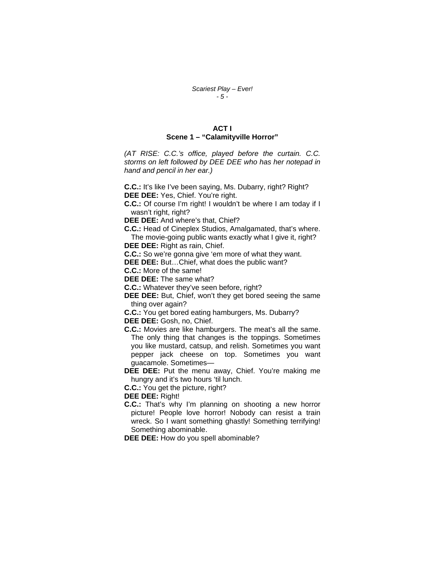## **ACT I Scene 1 – "Calamityville Horror"**

*(AT RISE: C.C.'s office, played before the curtain. C.C. storms on left followed by DEE DEE who has her notepad in hand and pencil in her ear.)* 

**C.C.:** It's like I've been saying, Ms. Dubarry, right? Right? **DEE DEE:** Yes, Chief. You're right.

**C.C.:** Of course I'm right! I wouldn't be where I am today if I wasn't right, right?

**DEE DEE:** And where's that, Chief?

**C.C.:** Head of Cineplex Studios, Amalgamated, that's where. The movie-going public wants exactly what I give it, right?

**DEE DEE:** Right as rain, Chief.

**C.C.:** So we're gonna give 'em more of what they want.

**DEE DEE:** But…Chief, what does the public want?

**C.C.:** More of the same!

**DEE DEE:** The same what?

**C.C.:** Whatever they've seen before, right?

**DEE DEE:** But, Chief, won't they get bored seeing the same thing over again?

**C.C.:** You get bored eating hamburgers, Ms. Dubarry?

**DEE DEE:** Gosh, no, Chief.

**C.C.:** Movies are like hamburgers. The meat's all the same. The only thing that changes is the toppings. Sometimes you like mustard, catsup, and relish. Sometimes you want pepper jack cheese on top. Sometimes you want guacamole. Sometimes—

**DEE DEE:** Put the menu away, Chief. You're making me hungry and it's two hours 'til lunch.

**C.C.:** You get the picture, right?

**DEE DEE:** Right!

**C.C.:** That's why I'm planning on shooting a new horror picture! People love horror! Nobody can resist a train wreck. So I want something ghastly! Something terrifying! Something abominable.

**DEE DEE:** How do you spell abominable?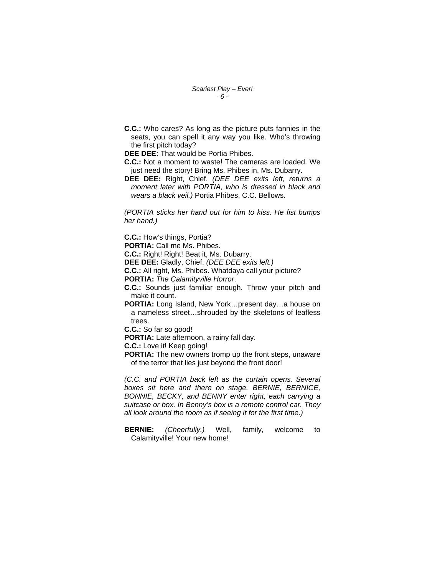*Scariest Play – Ever! - 6 -* 

**C.C.:** Who cares? As long as the picture puts fannies in the seats, you can spell it any way you like. Who's throwing the first pitch today?

**DEE DEE:** That would be Portia Phibes.

- **C.C.:** Not a moment to waste! The cameras are loaded. We just need the story! Bring Ms. Phibes in, Ms. Dubarry.
- **DEE DEE:** Right, Chief. *(DEE DEE exits left, returns a moment later with PORTIA, who is dressed in black and wears a black veil.)* Portia Phibes, C.C. Bellows.

*(PORTIA sticks her hand out for him to kiss. He fist bumps her hand.)* 

**C.C.:** How's things, Portia?

**PORTIA:** Call me Ms. Phibes.

**C.C.:** Right! Right! Beat it, Ms. Dubarry.

**DEE DEE:** Gladly, Chief. *(DEE DEE exits left.)*

**C.C.:** All right, Ms. Phibes. Whatdaya call your picture?

**PORTIA:** *The Calamityville Horror*.

**C.C.:** Sounds just familiar enough. Throw your pitch and make it count.

**PORTIA:** Long Island, New York…present day…a house on a nameless street…shrouded by the skeletons of leafless trees.

**C.C.:** So far so good!

**PORTIA:** Late afternoon, a rainy fall day.

**C.C.:** Love it! Keep going!

**PORTIA:** The new owners tromp up the front steps, unaware of the terror that lies just beyond the front door!

*(C.C. and PORTIA back left as the curtain opens. Several boxes sit here and there on stage. BERNIE, BERNICE, BONNIE, BECKY, and BENNY enter right, each carrying a suitcase or box. In Benny's box is a remote control car. They all look around the room as if seeing it for the first time.)* 

**BERNIE:** *(Cheerfully.)* Well, family, welcome to Calamityville! Your new home!